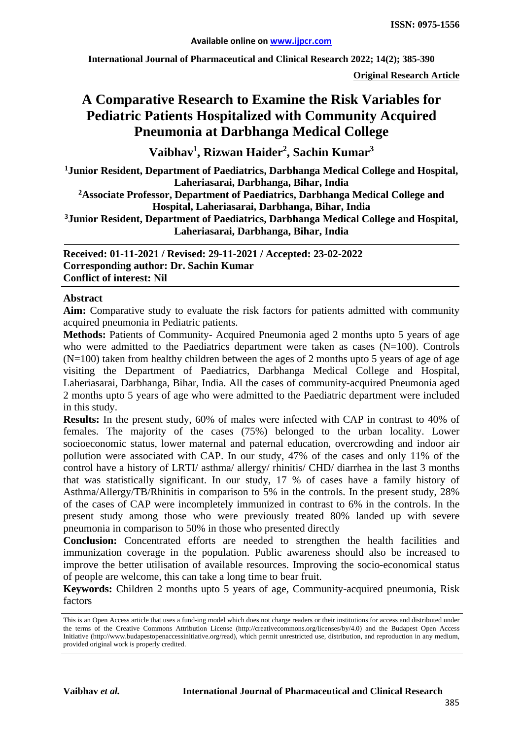**International Journal of Pharmaceutical and Clinical Research 2022; 14(2); 385-390**

**Original Research Article**

# **A Comparative Research to Examine the Risk Variables for Pediatric Patients Hospitalized with Community Acquired Pneumonia at Darbhanga Medical College**

**Vaibhav1 , Rizwan Haider2 , Sachin Kumar3**

**1 Junior Resident, Department of Paediatrics, Darbhanga Medical College and Hospital, Laheriasarai, Darbhanga, Bihar, India** 

**2Associate Professor, Department of Paediatrics, Darbhanga Medical College and Hospital, Laheriasarai, Darbhanga, Bihar, India**

**3Junior Resident, Department of Paediatrics, Darbhanga Medical College and Hospital, Laheriasarai, Darbhanga, Bihar, India**

**Received: 01-11-2021 / Revised: 29-11-2021 / Accepted: 23-02-2022 Corresponding author: Dr. Sachin Kumar Conflict of interest: Nil**

#### **Abstract**

**Aim:** Comparative study to evaluate the risk factors for patients admitted with community acquired pneumonia in Pediatric patients.

Methods: Patients of Community- Acquired Pneumonia aged 2 months upto 5 years of age who were admitted to the Paediatrics department were taken as cases (N=100). Controls  $(N=100)$  taken from healthy children between the ages of 2 months upto 5 years of age of age visiting the Department of Paediatrics, Darbhanga Medical College and Hospital, Laheriasarai, Darbhanga, Bihar, India. All the cases of community-acquired Pneumonia aged 2 months upto 5 years of age who were admitted to the Paediatric department were included in this study.

**Results:** In the present study, 60% of males were infected with CAP in contrast to 40% of females. The majority of the cases (75%) belonged to the urban locality. Lower socioeconomic status, lower maternal and paternal education, overcrowding and indoor air pollution were associated with CAP. In our study, 47% of the cases and only 11% of the control have a history of LRTI/ asthma/ allergy/ rhinitis/ CHD/ diarrhea in the last 3 months that was statistically significant. In our study, 17 % of cases have a family history of Asthma/Allergy/TB/Rhinitis in comparison to 5% in the controls. In the present study, 28% of the cases of CAP were incompletely immunized in contrast to 6% in the controls. In the present study among those who were previously treated 80% landed up with severe pneumonia in comparison to 50% in those who presented directly

**Conclusion:** Concentrated efforts are needed to strengthen the health facilities and immunization coverage in the population. Public awareness should also be increased to improve the better utilisation of available resources. Improving the socio-economical status of people are welcome, this can take a long time to bear fruit.

**Keywords:** Children 2 months upto 5 years of age, Community-acquired pneumonia, Risk factors

This is an Open Access article that uses a fund-ing model which does not charge readers or their institutions for access and distributed under the terms of the Creative Commons Attribution License (http://creativecommons.org/licenses/by/4.0) and the Budapest Open Access Initiative (http://www.budapestopenaccessinitiative.org/read), which permit unrestricted use, distribution, and reproduction in any medium, provided original work is properly credited.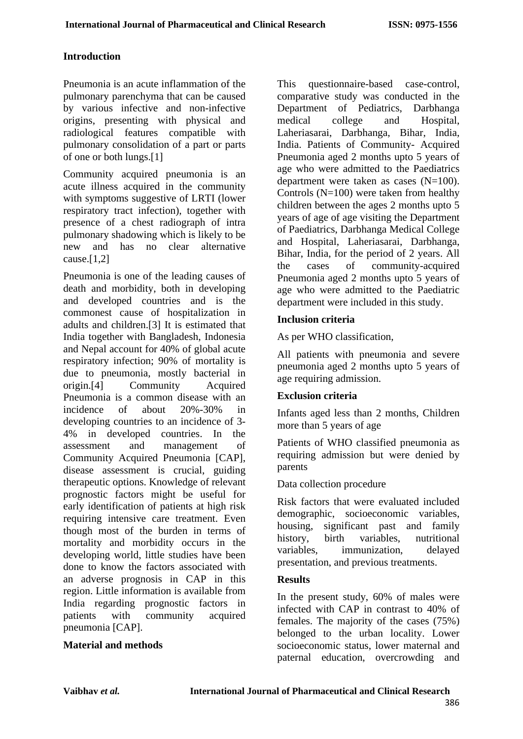### **Introduction**

Pneumonia is an acute inflammation of the pulmonary parenchyma that can be caused by various infective and non-infective origins, presenting with physical and radiological features compatible with pulmonary consolidation of a part or parts of one or both lungs.[1]

Community acquired pneumonia is an acute illness acquired in the community with symptoms suggestive of LRTI (lower respiratory tract infection), together with presence of a chest radiograph of intra pulmonary shadowing which is likely to be new and has no clear alternative cause. $[1,2]$ 

Pneumonia is one of the leading causes of death and morbidity, both in developing and developed countries and is the commonest cause of hospitalization in adults and children.[3] It is estimated that India together with Bangladesh, Indonesia and Nepal account for 40% of global acute respiratory infection; 90% of mortality is due to pneumonia, mostly bacterial in origin.[4] Community Acquired Pneumonia is a common disease with an incidence of about 20%-30% in developing countries to an incidence of 3- 4% in developed countries. In the assessment and management of Community Acquired Pneumonia [CAP], disease assessment is crucial, guiding therapeutic options. Knowledge of relevant prognostic factors might be useful for early identification of patients at high risk requiring intensive care treatment. Even though most of the burden in terms of mortality and morbidity occurs in the developing world, little studies have been done to know the factors associated with an adverse prognosis in CAP in this region. Little information is available from India regarding prognostic factors in patients with community acquired pneumonia [CAP].

### **Material and methods**

This questionnaire-based case-control, comparative study was conducted in the Department of Pediatrics, Darbhanga medical college and Hospital, Laheriasarai, Darbhanga, Bihar, India, India. Patients of Community- Acquired Pneumonia aged 2 months upto 5 years of age who were admitted to the Paediatrics department were taken as cases (N=100). Controls (N=100) were taken from healthy children between the ages 2 months upto 5 years of age of age visiting the Department of Paediatrics, Darbhanga Medical College and Hospital, Laheriasarai, Darbhanga, Bihar, India, for the period of 2 years. All the cases of community-acquired Pneumonia aged 2 months upto 5 years of age who were admitted to the Paediatric department were included in this study.

#### **Inclusion criteria**

As per WHO classification,

All patients with pneumonia and severe pneumonia aged 2 months upto 5 years of age requiring admission.

### **Exclusion criteria**

Infants aged less than 2 months, Children more than 5 years of age

Patients of WHO classified pneumonia as requiring admission but were denied by parents

Data collection procedure

Risk factors that were evaluated included demographic, socioeconomic variables, housing, significant past and family history, birth variables, nutritional variables, immunization, delayed presentation, and previous treatments.

### **Results**

In the present study, 60% of males were infected with CAP in contrast to 40% of females. The majority of the cases (75%) belonged to the urban locality. Lower socioeconomic status, lower maternal and paternal education, overcrowding and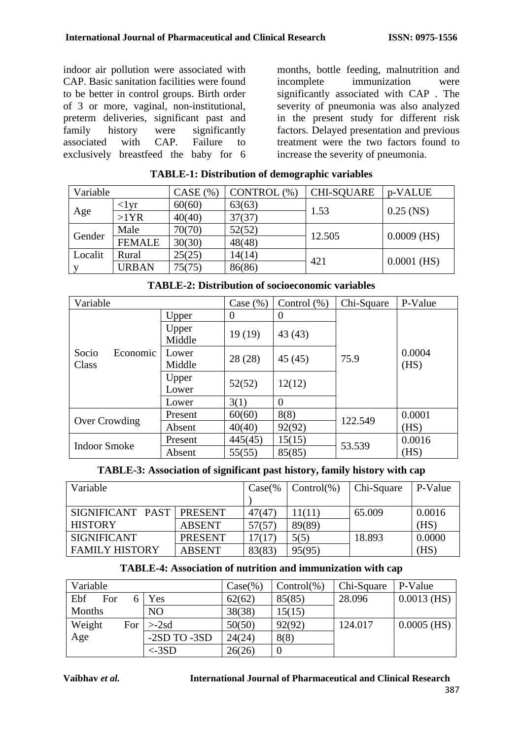indoor air pollution were associated with CAP. Basic sanitation facilities were found to be better in control groups. Birth order of 3 or more, vaginal, non-institutional, preterm deliveries, significant past and<br>family history were significantly family history were significantly<br>associated with CAP. Failure to associated with CAP. Failure to exclusively breastfeed the baby for 6

months, bottle feeding, malnutrition and incomplete immunization were significantly associated with CAP . The severity of pneumonia was also analyzed in the present study for different risk factors. Delayed presentation and previous treatment were the two factors found to increase the severity of pneumonia.

| Variable |               | CASE (%) | CONTROL (%) | <b>CHI-SQUARE</b> | p-VALUE       |  |
|----------|---------------|----------|-------------|-------------------|---------------|--|
|          | $\langle$ lyr | 60(60)   | 63(63)      | 1.53              | $0.25$ (NS)   |  |
| Age      | $>1$ YR       | 40(40)   | 37(37)      |                   |               |  |
| Gender   | Male          | 70(70)   | 52(52)      | 12.505            | $0.0009$ (HS) |  |
|          | <b>FEMALE</b> | 30(30)   | 48(48)      |                   |               |  |
| Localit  | Rural         | 25(25)   | 14(14)      | 421               | $0.0001$ (HS) |  |
|          | <b>URBAN</b>  | 75(75)   | 86(86)      |                   |               |  |

## **TABLE-1: Distribution of demographic variables**

| Variable                   | Case $(\% )$    | Control $(\%)$ | Chi-Square     | P-Value |                |  |
|----------------------------|-----------------|----------------|----------------|---------|----------------|--|
|                            | Upper           | 0              | $\overline{0}$ |         |                |  |
|                            | Upper<br>Middle | 19(19)         | 43(43)         |         | 0.0004<br>(HS) |  |
| Socio<br>Economic<br>Class | Lower<br>Middle | 28 (28)        | 45(45)         | 75.9    |                |  |
|                            | Upper<br>Lower  | 52(52)         | 12(12)         |         |                |  |
|                            | Lower           | 3(1)           | $\theta$       |         |                |  |
|                            | Present         | 60(60)         | 8(8)           | 122.549 | 0.0001         |  |
| Over Crowding              | Absent          | 40(40)         | 92(92)         |         | (HS)           |  |
| <b>Indoor Smoke</b>        | Present         | 445(45)        | 15(15)         | 53.539  | 0.0016         |  |
|                            | Absent          | 55(55)         | 85(85)         |         | (HS)           |  |

**TABLE-2: Distribution of socioeconomic variables**

| TABLE-3: Association of significant past history, family history with cap |  |  |  |
|---------------------------------------------------------------------------|--|--|--|
|---------------------------------------------------------------------------|--|--|--|

| Variable                               | $Case\%$       | $Control(\% )$ | Chi-Square | P-Value |        |
|----------------------------------------|----------------|----------------|------------|---------|--------|
|                                        |                |                |            |         |        |
| SIGNIFICANT PAST                       | PRESENT        | 47(47)         | 11(11)     | 65.009  | 0.0016 |
| <b>HISTORY</b>                         | <b>ABSENT</b>  | 57(57)         | 89(89)     |         | (HS)   |
| <b>SIGNIFICANT</b>                     | <b>PRESENT</b> | 17(17)         | 5(5)       | 18.893  | 0.0000 |
| <b>FAMILY HISTORY</b><br><b>ABSENT</b> |                | 83(83)         | 95(95)     |         | (HS)   |

## **TABLE-4: Association of nutrition and immunization with cap**

| Variable   |     |                | $Case(\% )$ | $Control(\% )$ | Chi-Square | P-Value       |
|------------|-----|----------------|-------------|----------------|------------|---------------|
| Ebf<br>For |     | Yes            | 62(62)      | 85(85)         | 28.096     | $0.0013$ (HS) |
| Months     |     | N <sub>O</sub> | 38(38)      | 15(15)         |            |               |
| Weight     | For | $>2$ sd        | 50(50)      | 92(92)         | 124.017    | $0.0005$ (HS) |
| Age        |     | $-2SD TO -3SD$ | 24(24)      | 8(8)           |            |               |
|            |     | $<$ -3SD       | 26(26)      |                |            |               |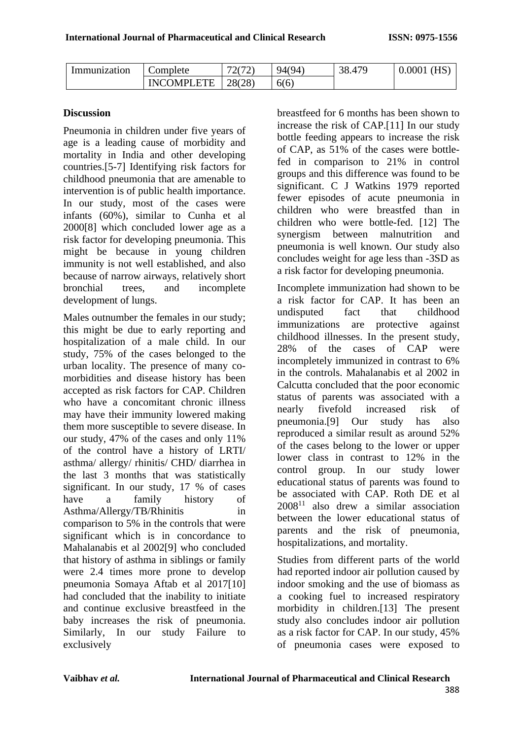| Immunization | Complete    | 72(72)<br>$\overline{\phantom{0}}$ | 94(94) | . $\Delta 76$<br>38. | (HS<br>0.0001 |
|--------------|-------------|------------------------------------|--------|----------------------|---------------|
|              | INCOMPI ETE | 28(28)                             | 6(6)   |                      |               |

#### **Discussion**

Pneumonia in children under five years of age is a leading cause of morbidity and mortality in India and other developing countries.[5-7] Identifying risk factors for childhood pneumonia that are amenable to intervention is of public health importance. In our study, most of the cases were infants (60%), similar to Cunha et al 2000[8] which concluded lower age as a risk factor for developing pneumonia. This might be because in young children immunity is not well established, and also because of narrow airways, relatively short bronchial trees, and incomplete development of lungs.

Males outnumber the females in our study; this might be due to early reporting and hospitalization of a male child. In our study, 75% of the cases belonged to the urban locality. The presence of many comorbidities and disease history has been accepted as risk factors for CAP. Children who have a concomitant chronic illness may have their immunity lowered making them more susceptible to severe disease. In our study, 47% of the cases and only 11% of the control have a history of LRTI/ asthma/ allergy/ rhinitis/ CHD/ diarrhea in the last 3 months that was statistically significant. In our study, 17 % of cases have a family history of Asthma/Allergy/TB/Rhinitis in comparison to 5% in the controls that were significant which is in concordance to Mahalanabis et al 2002[9] who concluded that history of asthma in siblings or family were 2.4 times more prone to develop pneumonia Somaya Aftab et al 2017[10] had concluded that the inability to initiate and continue exclusive breastfeed in the baby increases the risk of pneumonia. Similarly, In our study Failure to exclusively

breastfeed for 6 months has been shown to increase the risk of CAP.[11] In our study bottle feeding appears to increase the risk of CAP, as 51% of the cases were bottlefed in comparison to 21% in control groups and this difference was found to be significant. C J Watkins 1979 reported fewer episodes of acute pneumonia in children who were breastfed than in children who were bottle-fed. [12] The synergism between malnutrition and pneumonia is well known. Our study also concludes weight for age less than -3SD as a risk factor for developing pneumonia.

Incomplete immunization had shown to be a risk factor for CAP. It has been an undisputed fact that childhood immunizations are protective against childhood illnesses. In the present study, 28% of the cases of CAP were incompletely immunized in contrast to 6% in the controls. Mahalanabis et al 2002 in Calcutta concluded that the poor economic status of parents was associated with a nearly fivefold increased risk of pneumonia.[9] Our study has also reproduced a similar result as around 52% of the cases belong to the lower or upper lower class in contrast to 12% in the control group. In our study lower educational status of parents was found to be associated with CAP. Roth DE et al  $2008^{11}$  also drew a similar association between the lower educational status of parents and the risk of pneumonia, hospitalizations, and mortality.

Studies from different parts of the world had reported indoor air pollution caused by indoor smoking and the use of biomass as a cooking fuel to increased respiratory morbidity in children.[13] The present study also concludes indoor air pollution as a risk factor for CAP. In our study, 45% of pneumonia cases were exposed to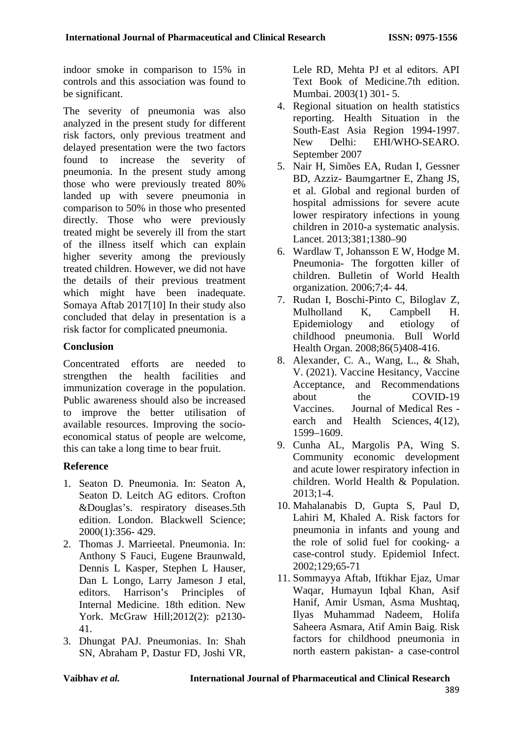indoor smoke in comparison to 15% in controls and this association was found to be significant.

The severity of pneumonia was also analyzed in the present study for different risk factors, only previous treatment and delayed presentation were the two factors found to increase the severity of pneumonia. In the present study among those who were previously treated 80% landed up with severe pneumonia in comparison to 50% in those who presented directly. Those who were previously treated might be severely ill from the start of the illness itself which can explain higher severity among the previously treated children. However, we did not have the details of their previous treatment which might have been inadequate. Somaya Aftab 2017[10] In their study also concluded that delay in presentation is a risk factor for complicated pneumonia.

## **Conclusion**

Concentrated efforts are needed to strengthen the health facilities and immunization coverage in the population. Public awareness should also be increased to improve the better utilisation of available resources. Improving the socioeconomical status of people are welcome, this can take a long time to bear fruit.

## **Reference**

- 1. Seaton D. Pneumonia. In: Seaton A, Seaton D. Leitch AG editors. Crofton &Douglas's. respiratory diseases.5th edition. London. Blackwell Science; 2000(1):356- 429.
- 2. Thomas J. Marrieetal. Pneumonia. In: Anthony S Fauci, Eugene Braunwald, Dennis L Kasper, Stephen L Hauser, Dan L Longo, Larry Jameson J etal, editors. Harrison's Principles of Internal Medicine. 18th edition. New York. McGraw Hill;2012(2): p2130- 41.
- 3. Dhungat PAJ. Pneumonias. In: Shah SN, Abraham P, Dastur FD, Joshi VR,

Lele RD, Mehta PJ et al editors. API Text Book of Medicine.7th edition. Mumbai. 2003(1) 301- 5.

- 4. Regional situation on health statistics reporting. Health Situation in the South-East Asia Region 1994-1997. New Delhi: EHI/WHO-SEARO. September 2007
- 5. Nair H, Simões EA, Rudan I, Gessner BD, Azziz- Baumgartner E, Zhang JS, et al. Global and regional burden of hospital admissions for severe acute lower respiratory infections in young children in 2010-a systematic analysis. Lancet. 2013;381;1380–90
- 6. Wardlaw T, Johansson E W, Hodge M. Pneumonia- The forgotten killer of children. Bulletin of World Health organization. 2006;7;4- 44.
- 7. Rudan I, Boschi-Pinto C, Biloglav Z, Mulholland K, Campbell H. Epidemiology and etiology of childhood pneumonia. Bull World Health Organ. 2008;86(5)408-416.
- 8. Alexander, C. A., Wang, L., & Shah, V. (2021). Vaccine Hesitancy, Vaccine Acceptance, and Recommendations about the COVID-19 Vaccines. Journal of Medical Res earch and Health Sciences, 4(12), 1599–1609.
- 9. Cunha AL, Margolis PA, Wing S. Community economic development and acute lower respiratory infection in children. World Health & Population. 2013;1-4.
- 10. Mahalanabis D, Gupta S, Paul D, Lahiri M, Khaled A. Risk factors for pneumonia in infants and young and the role of solid fuel for cooking- a case-control study. Epidemiol Infect. 2002;129;65-71
- 11. Sommayya Aftab, Iftikhar Ejaz, Umar Waqar, Humayun Iqbal Khan, Asif Hanif, Amir Usman, Asma Mushtaq, Ilyas Muhammad Nadeem, Holifa Saheera Asmara, Atif Amin Baig. Risk factors for childhood pneumonia in north eastern pakistan- a case-control